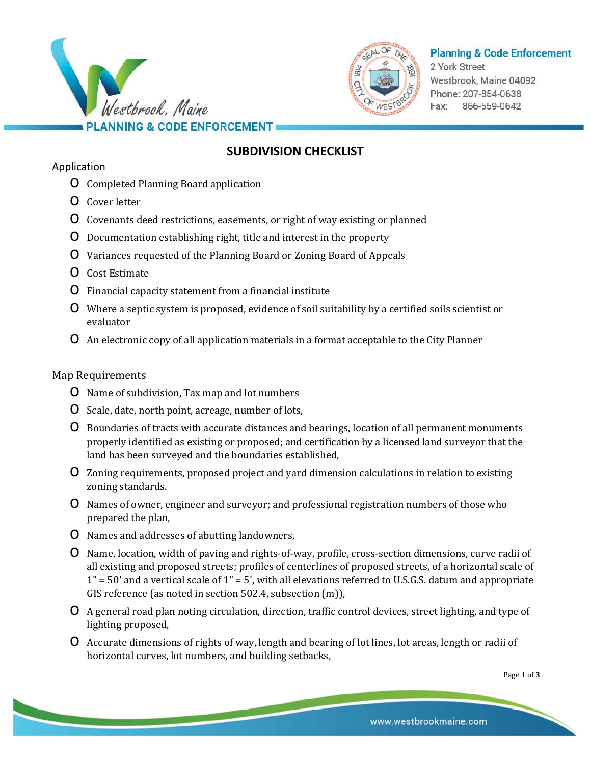



## **Planning & Code Enforcement**

2 York Street Westbrook, Maine 04092 Phone: 207-854-0638 Fax: 866-559-0642

# **SUBDIVISION CHECKLIST**

#### Application

- o Completed Planning Board application
- o Cover letter
- o Covenants deed restrictions, easements, or right of way existing or planned
- o Documentation establishing right, title and interest in the property
- o Variances requested of the Planning Board or Zoning Board of Appeals
- o Cost Estimate
- o Financial capacity statement from a financial institute
- o Where a septic system is proposed, evidence of soil suitability by a certified soils scientist or evaluator
- o An electronic copy of all application materials in a format acceptable to the City Planner

#### Map Requirements

- o Name of subdivision, Tax map and lot numbers
- o Scale, date, north point, acreage, number of lots,
- o Boundaries of tracts with accurate distances and bearings, location of all permanent monuments properly identified as existing or proposed; and certification by a licensed land surveyor that the land has been surveyed and the boundaries established,
- o Zoning requirements, proposed project and yard dimension calculations in relation to existing zoning standards.
- o Names of owner, engineer and surveyor; and professional registration numbers of those who prepared the plan,
- o Names and addresses of abutting landowners,
- o Name, location, width of paving and rights-of-way, profile, cross-section dimensions, curve radii of all existing and proposed streets; profiles of centerlines of proposed streets, of a horizontal scale of  $1" = 50'$  and a vertical scale of  $1" = 5'$ , with all elevations referred to U.S.G.S. datum and appropriate GIS reference (as noted in section 502.4, subsection (m)),
- o A general road plan noting circulation, direction, traffic control devices, street lighting, and type of lighting proposed,
- o Accurate dimensions of rights of way, length and bearing of lot lines, lot areas, length or radii of horizontal curves, lot numbers, and building setbacks,

Page **1** of **3**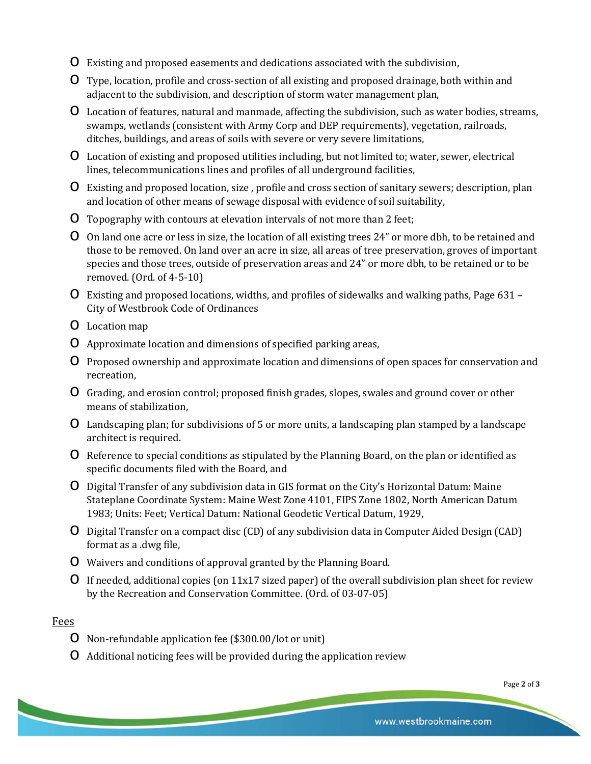- o Existing and proposed easements and dedications associated with the subdivision,
- o Type, location, profile and cross-section of all existing and proposed drainage, both within and adjacent to the subdivision, and description of storm water management plan,
- o Location of features, natural and manmade, affecting the subdivision, such as water bodies, streams, swamps, wetlands (consistent with Army Corp and DEP requirements), vegetation, railroads, ditches, buildings, and areas of soils with severe or very severe limitations,
- o Location of existing and proposed utilities including, but not limited to; water, sewer, electrical lines, telecommunications lines and profiles of all underground facilities,
- o Existing and proposed location, size , profile and cross section of sanitary sewers; description, plan and location of other means of sewage disposal with evidence of soil suitability,
- o Topography with contours at elevation intervals of not more than 2 feet;
- o On land one acre or less in size, the location of all existing trees 24" or more dbh, to be retained and those to be removed. On land over an acre in size, all areas of tree preservation, groves of important species and those trees, outside of preservation areas and 24" or more dbh, to be retained or to be removed. (Ord. of 4-5-10)
- o Existing and proposed locations, widths, and profiles of sidewalks and walking paths, Page 631 City of Westbrook Code of Ordinances
- o Location map
- o Approximate location and dimensions of specified parking areas,
- o Proposed ownership and approximate location and dimensions of open spaces for conservation and recreation,
- o Grading, and erosion control; proposed finish grades, slopes, swales and ground cover or other means of stabilization,
- o Landscaping plan; for subdivisions of 5 or more units, a landscaping plan stamped by a landscape architect is required.
- o Reference to special conditions as stipulated by the Planning Board, on the plan or identified as specific documents filed with the Board, and
- o Digital Transfer of any subdivision data in GIS format on the City's Horizontal Datum: Maine Stateplane Coordinate System: Maine West Zone 4101, FIPS Zone 1802, North American Datum 1983; Units: Feet; Vertical Datum: National Geodetic Vertical Datum, 1929,
- o Digital Transfer on a compact disc (CD) of any subdivision data in Computer Aided Design (CAD) format as a .dwg file,
- o Waivers and conditions of approval granted by the Planning Board.
- O If needed, additional copies (on  $11x17$  sized paper) of the overall subdivision plan sheet for review by the Recreation and Conservation Committee. (Ord. of 03-07-05)

### Fees

- o Non-refundable application fee (\$300.00/lot or unit)
- o Additional noticing fees will be provided during the application review